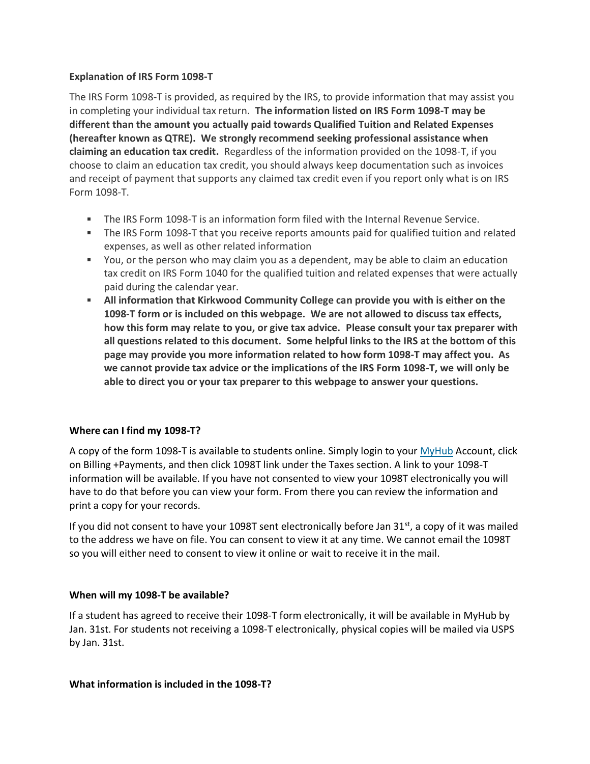### **Explanation of IRS Form 1098-T**

The IRS Form 1098-T is provided, as required by the IRS, to provide information that may assist you in completing your individual tax return. **The information listed on IRS Form 1098-T may be different than the amount you actually paid towards Qualified Tuition and Related Expenses (hereafter known as QTRE). We strongly recommend seeking professional assistance when claiming an education tax credit.** Regardless of the information provided on the 1098-T, if you choose to claim an education tax credit, you should always keep documentation such as invoices and receipt of payment that supports any claimed tax credit even if you report only what is on IRS Form 1098-T.

- The IRS Form 1098-T is an information form filed with the Internal Revenue Service.
- The IRS Form 1098-T that you receive reports amounts paid for qualified tuition and related expenses, as well as other related information
- You, or the person who may claim you as a dependent, may be able to claim an education tax credit on IRS Form 1040 for the qualified tuition and related expenses that were actually paid during the calendar year.
- **All information that Kirkwood Community College can provide you with is either on the 1098-T form or is included on this webpage. We are not allowed to discuss tax effects, how this form may relate to you, or give tax advice. Please consult your tax preparer with all questions related to this document. Some helpful links to the IRS at the bottom of this page may provide you more information related to how form 1098-T may affect you. As we cannot provide tax advice or the implications of the IRS Form 1098-T, we will only be able to direct you or your tax preparer to this webpage to answer your questions.**

# **Where can I find my 1098-T?**

A copy of the form 1098-T is available to students online. Simply login to your [MyHub](https://my.dmacc.edu/) Account, click on Billing +Payments, and then click 1098T link under the Taxes section. A link to your 1098-T information will be available. If you have not consented to view your 1098T electronically you will have to do that before you can view your form. From there you can review the information and print a copy for your records.

If you did not consent to have your 1098T sent electronically before Jan  $31<sup>st</sup>$ , a copy of it was mailed to the address we have on file. You can consent to view it at any time. We cannot email the 1098T so you will either need to consent to view it online or wait to receive it in the mail.

# **When will my 1098-T be available?**

If a student has agreed to receive their 1098-T form electronically, it will be available in MyHub by Jan. 31st. For students not receiving a 1098-T electronically, physical copies will be mailed via USPS by Jan. 31st.

#### **What information is included in the 1098-T?**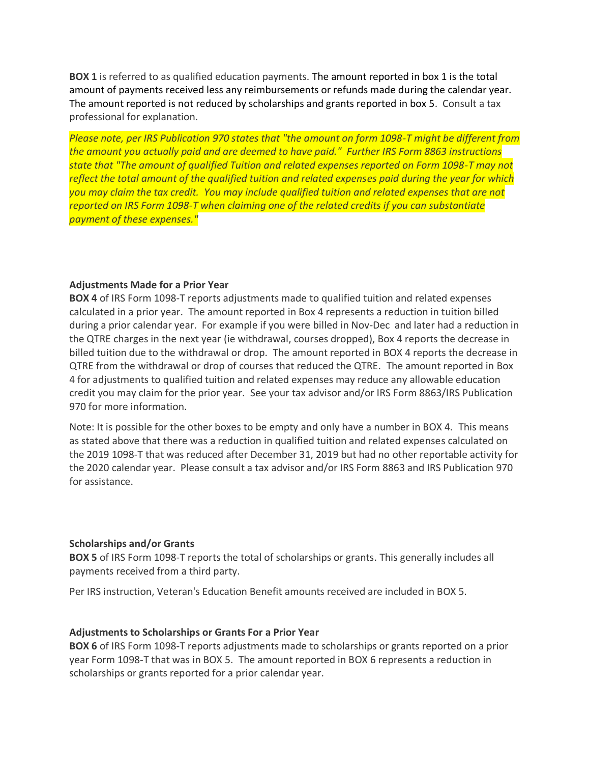**BOX 1** is referred to as qualified education payments. The amount reported in box 1 is the total amount of payments received less any reimbursements or refunds made during the calendar year. The amount reported is not reduced by scholarships and grants reported in box 5. Consult a tax professional for explanation.

*Please note, per IRS Publication 970 states that "the amount on form 1098-T might be different from the amount you actually paid and are deemed to have paid." Further IRS Form 8863 instructions state that "The amount of qualified Tuition and related expenses reported on Form 1098-T may not reflect the total amount of the qualified tuition and related expenses paid during the year for which you may claim the tax credit. You may include qualified tuition and related expenses that are not reported on IRS Form 1098-T when claiming one of the related credits if you can substantiate payment of these expenses."*

# **Adjustments Made for a Prior Year**

**BOX 4** of IRS Form 1098-T reports adjustments made to qualified tuition and related expenses calculated in a prior year. The amount reported in Box 4 represents a reduction in tuition billed during a prior calendar year. For example if you were billed in Nov-Dec and later had a reduction in the QTRE charges in the next year (ie withdrawal, courses dropped), Box 4 reports the decrease in billed tuition due to the withdrawal or drop. The amount reported in BOX 4 reports the decrease in QTRE from the withdrawal or drop of courses that reduced the QTRE. The amount reported in Box 4 for adjustments to qualified tuition and related expenses may reduce any allowable education credit you may claim for the prior year. See your tax advisor and/or IRS Form 8863/IRS Publication 970 for more information.

Note: It is possible for the other boxes to be empty and only have a number in BOX 4. This means as stated above that there was a reduction in qualified tuition and related expenses calculated on the 2019 1098-T that was reduced after December 31, 2019 but had no other reportable activity for the 2020 calendar year. Please consult a tax advisor and/or IRS Form 8863 and IRS Publication 970 for assistance.

#### **Scholarships and/or Grants**

**BOX 5** of IRS Form 1098-T reports the total of scholarships or grants. This generally includes all payments received from a third party.

Per IRS instruction, Veteran's Education Benefit amounts received are included in BOX 5.

#### **Adjustments to Scholarships or Grants For a Prior Year**

**BOX 6** of IRS Form 1098-T reports adjustments made to scholarships or grants reported on a prior year Form 1098-T that was in BOX 5. The amount reported in BOX 6 represents a reduction in scholarships or grants reported for a prior calendar year.